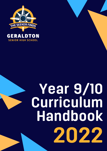

**SENIOR HIGH SCHOOL** 

# Year 9/10 Curriculum Handbook 2022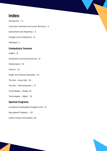# Index

Introduction | 3

Curriculum Overview and Course Structure | 4

Assessment and Reporting | 5

Charges and Contributions | 6

Pathways | 7

# Compulsory Courses

English | 8

Humanities and Social Sciences | 9

Mathematics | 10

Science | 12

Health and Physical Education | 14

The Arts - VIsual Arts | 16

The Arts - Performing Arts | 17

Technologies - Design | 18

Technologies - Digital | 19

# Special Programs

Vocational Individualised Program (VIP) | 21

Specialised Programs | 22

Useful Contact Information | 23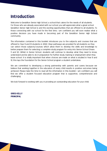# Introduction

Welcome to Geraldton Senior High School, a school that caters for the needs of all students. For those who are already associated with our school, you will appreciate what a great school Geraldton Senior High School is and the exciting opportunities that are offered to all students. To those connecting with our school for the first time, I am confident you will soon realise what a positive decision you have made in becoming part of the Geraldton Senior High School community.

The information contained in this booklet introduces you to the subjects and courses that are offered to Year 9 and 10 students in 2022. Clear pathways are provided for all students so they can select those subjects/courses which allow them to develop the skills and knowledge to better prepare them for selecting a complete study program for entry into Senior School (Years 11 and 12). Whilst in Senior School, students will continue to develop what they need to know, understand and be able to do in preparation for further study, training or employment when they leave school. It is vitally important that when choices are made on what is studied in Year 9 and 10, this lays the foundation for the Senior School program a student undertakes.

We are committed to developing a strong partnership with parents and carers because we believe that working together in the education of every child results in positive outcomes being achieved. Please take the time to read all the information in this booklet. I am confident you will find we offer a student focused education program that is supportive, comprehensive and challenging.

We look forward to working with you in providing an outstanding education for your child.

GREG KELLY PRINCIPAL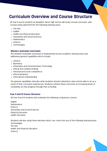# Curriculum Overview and Course Structure

All Year 9 and 10 students at Geraldton Senior High School will study a broad curriculum, with courses being selected from the following learning areas:

- The Arts
- English
- Health and Physical Education
- Humanities and Social Sciences
- Mathematics
- Science
- Technologies

### Western Australian Curriculum

The Western Australian Curriculum is implemented across academic learning areas and addresses general capabilities which include:

- Literacy
- Numeracy
- Information and Communication Technology
- Critical and creative thinking
- Personal and social competence
- Ethical behaviour
- Intercultural understanding

The general capabilities describe what students should understand, value and be able to do as a result of their curriculum experiences. Students achieve these outcomes at increasing levels of complexity as they progress through their schooling.

### Year 9 and 10 Course Structure

All Year 9 and 10 students will undertake the following compulsory courses:

English **Mathematics Science** Humanities and Social Sciences Physical Education Health Education

Students will also study three electives which can come from any of the following learning Areas: **Technologies** The Arts Health and Physical Education **Science**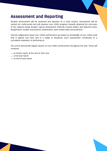# Assessment and Reporting

Student achievement will be assessed and reported on in each subject. Assessment will be carried out continuously and will measure your child's progress towards attaining the outcomes of the subjects being studied. Typical assessment methods include written and objective tests, assignments, models and projects, experiments, open-ended tasks and portfolios.

Teacher judgements about your child's performance are based on knowledge of your child's work that is gained over time and in a range of situations. Each assessment contributes to a cumulative evaluation of performance.

The school will provide regular reports on your child's achievement throughout the year. These will comprise;

- an Interim report at the end of Term One
- a mid year report
- an end of year report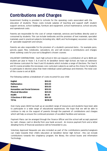# Contributions and Charges

Government funding is provided to schools for the operating costs associated with the education of students. These costs include salaries of teaching and support staff, student support services, school buildings, furniture and equipment, school maintenance, school security and operational costs.

Parents are responsible for the cost of certain materials, services and facilities directly used or consumed by students. This can include textbooks and the provision of text materials, specialist materials used in practical subjects (including Arts, H&PE and Technologies), excursion costs, hire of specialist equipment and venues.

Parents are also responsible for the provision of a student's personal items - for example pens, pencils, paper, files, notebooks, calculators, etc and will receive a contributions and charges sheet outlining costs for your son's/daughter's chosen courses.

VOLUNTARY CONTRIBUTIONS - Each high school in WA can request a contribution of up to \$235 per student per year in Years 7, 8, 9 and 10. At Geraldton Senior High School, we have an extensive and diverse curriculum for Year 9 and 10 students which includes a range of Electives. The Year 9 and 10 course provides the necessary core curriculum subjects as well as the choice for students to participate in elective areas that meet individual career pathways and interests. The total cost of this course is set at \$235.

The following outlines a breakdown of costs incurred for your child:

| <b>English</b>                        | \$30.00  |
|---------------------------------------|----------|
| <b>Mathematics</b>                    | \$30.00  |
| <b>Science</b>                        | \$30.00  |
| <b>Humanities and Social Sciences</b> | \$30.00  |
| <b>Physical Education</b>             | \$20.00  |
| Health                                | \$5.00   |
| 3 Electives @ \$30 each               | \$90.00  |
| <b>TOTAL</b>                          | \$235.00 |

Over many years GSHS has built up an excellent range of resources and students have been able to participate in a wide range of educational experiences. We hope that we will be able to continue to rely on the support of parents through the payment of contributions and charges which will help us ensure the continued provision of excellent facilities and services.

Payment Plans can be arranged through the Finance Officer and the school will accept payment by cash, cheque, card or directly from your bank account. An invoice payment form and a letter detailing forms of financial assistance will be forwarded to you.

Voluntary Approved Requests are also included as part of the contributions parents/caregivers can make towards their child's education at Geraldton Senior High School , this can include contributions towards the chaplaincy program, the library, the school buses and Information Technology.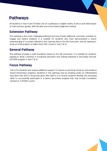# Pathways

All Students in Year 9 and 10 follow one of 3 pathways in English, Maths, Science and HASS based on their previous grades, NAPLAN data and school based diagnostic testing.

# Extension Pathway

This pathway is the most challenging pathway and may include additional curriculum activities to engage and extend students. It is suitable for students who have demonstrated a sound understanding of concepts relevant to the Learning Area in the WA Curriculum, and are aspiring to study an ATAR program or higher level TAFE course in Year 11 & 12.

# General Pathway

This pathway provides a solid foundation based on the WA Curriculum. It is suitable for students aspiring to study a General or Vocational Education and Training Delivered in Secondary Schools (VETDSS) program in Year 11 & 12.

# Focus Pathway

This is for students who require additional support. It's based on practical, hands-on and evidence based intervention programs. Students in this pathway may be studying under an Individualized Education Plan (IEP) or Group Education Plan (GEP) It is to ensure students develop the necessary skills to successfully participate in a Senior Secondary program that may include Foundation, General or a VETDSS course.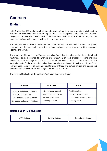# Courses

# English

In 2021 Year 9 and 10 students will continue to develop their skills and understandings based on The Western Australian Curriculum for English. This content is organised into three broad strands: Language, Literature, and Literacy. Each of these address basic divisions in the content, such as understanding contexts, responding to texts, and creating texts.

The program will provide a balanced curriculum among the curriculum strands (language, literature, and literacy) and among the various language modes (reading, writing, speaking, listening and viewing).

The word text(s) is used in the Western Australian Curriculum to indicate print, visual, digital and multimodal texts. Response to, analysis and evaluation of, and creation of texts includes consideration of language conventions, both verbal and visual. There is a requirement to use Australian texts, (including inscriptional and oral narrative traditions of Aboriginal and Torres Strait islander peoples), as well as contemporary literature of these two cultural groups, and classic and contemporary world literature including texts from and about Asia.

The following table shows the Western Australian Curriculum: English

| Language                        | Literature                  | Literacy                            |
|---------------------------------|-----------------------------|-------------------------------------|
| Language variation and change   | Literature and context      | Text in context                     |
| Language for interaction        | Responding to literature    | Interacting with others             |
| Text structure and organisation | <b>Examining literature</b> | Interpreting, analysing, evaluating |
| Expressing and developing ideas | Creating literature         | Creating texts                      |

# Related Year 11/12 Subjects

| <b>ATAR English</b> | General English | <b>Foundation English</b> |
|---------------------|-----------------|---------------------------|
|                     |                 |                           |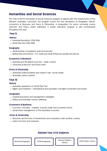# Humanities and Social Sciences

The Year 9 and 10 Humanities & Social Sciences program is aligned with the requirements of the Western Australian curriculum. Our program covers the four disciplines of Geography, History, Economics & Business and Civics & Citizenship. In preparation for senior schooling course selection and future career pathways, a Career Education program is also incorporated throughout the year.

## Year 9

#### **History**

- Industrial Revolution (1750-1914)
- World War One (1914-1918)

#### Geography

- World biomes, ecosystems and food security
- Global interconnections ICT, trade and what influences people and places

### Economics & Business

- Australia and the global economy trade, tourism
- Consumer protection and future work

### Civics & Citizenship

- Australian political parties and citizen's role –social media
- Australian justice system

## Year 10

#### **History**

- Australian experience in World War Two
- Rights and Freedoms international and Australian civil rights movement and events

#### Geography

- Coastal processes and management strategies
- Global and Australian human wellbeing

#### Economics & Business

- Economic concepts markets, scarcity, trade and consumer choice
- Government management of the Australian economy

### Civics & Citizenship

- Structure and function of Government and comparison with another country
- Justice at home and overseas

# Related Year 11/12 Subjects

General Geography **ATAR Geography ATA** Geography **ATAR Modern History** 

ATAR Geography

General Modern History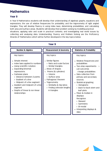# **Mathematics**

# Year 9

In Year 9 Mathematics students will develop their understanding of algebraic graphs, equations and expressions; the use of relative frequencies for probability; and the trigonometry of right angled triangles. They will develop fluency in using index laws; determining probabilities; and calculating both area and surface areas. Students will develop their problem solving by modelling practical situations; applying ratio and scale in practical contexts; and investigating real world issues by collecting and analysing data. Understanding, Fluency and Problem Solving are the Proficiency Strands of Mathematics which will be further developed in the key topics below.

| Year 9                                                                                                                                                                                                                                                                                                                                                 |                                                                                                                                                                                                                                                                                |                                                                                                                                                                                                                                                                                                                                                                                                        |
|--------------------------------------------------------------------------------------------------------------------------------------------------------------------------------------------------------------------------------------------------------------------------------------------------------------------------------------------------------|--------------------------------------------------------------------------------------------------------------------------------------------------------------------------------------------------------------------------------------------------------------------------------|--------------------------------------------------------------------------------------------------------------------------------------------------------------------------------------------------------------------------------------------------------------------------------------------------------------------------------------------------------------------------------------------------------|
| <b>Number &amp; Algebra</b>                                                                                                                                                                                                                                                                                                                            | <b>Measurement &amp; Geometry</b>                                                                                                                                                                                                                                              | <b>Statistics &amp; Probability</b>                                                                                                                                                                                                                                                                                                                                                                    |
| Key topics:<br>Simple interest<br>Index laws applied to numbers<br>Using scientific notation.<br><b>Expanding binomial</b><br>expressions.<br>• Cartesian plane<br>> Distance between 2 points<br>> Gradient of a line<br>> Midpoint of a line segment<br>Gradient and midpoint of a line<br>segment<br>Graphs of linear & non-linear<br>relationships | Key topics:<br>Similar figures<br>> Ratio and scale factors<br>> Similar triangles.<br>Areas of shapes<br>Prisms (& cylinders)<br>> Volume<br>> Surface area<br>Pythagoras' theorem<br>Trigonometry<br>> Similarity & trig ratios<br>> Finding unknown lengths<br>in triangles | Key topics:<br>Relative frequencies and<br>probabilities<br>Two-step experiments<br>List outcomes<br>> Assign probabilities<br>Data collection from<br>primary and secondary<br>sources.<br>• Statistical graphing<br>> Histograms<br>> Back-to-back stem-and<br>leaf-plots<br>Mean & median in<br>displays:<br>Recognise:<br>> Skewed<br>> Symmetric<br>> Bi-modal<br>Interpreting displays &<br>data |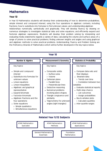# **Mathematics**

# Year 10

In Year 10 Mathematics students will develop their understanding of how to determine probabilities; simple interest and compound interest; using the four operations in algebraic contexts, including fractions; how to substitute into formulas to find unknown values; and understanding algebraic relationships numerically, symbolically and graphically. They will develop fluency by drawing on numerous strategies to investigate statistical data and solve equations; and efficiently expand and factorize algebraic expressions. Students will develop their problem solving by interpreting and evaluating media statements regards a variety of data; calculating the volume and surface areas of a range of prisms to solve practical problems; finding unknown lengths and angles and using graphical and algebraic methods to solve practical problems. Understanding, Fluency and Problem Solving are the Proficiency Strands of Mathematics which will be further developed in the key topics below.

| Year 10                                                                                                                                                                                                                                                                                                                                                             |                                                                                                                                                                                                                                                                                                                |                                                                                                                                                                                                                                                                                                                               |  |
|---------------------------------------------------------------------------------------------------------------------------------------------------------------------------------------------------------------------------------------------------------------------------------------------------------------------------------------------------------------------|----------------------------------------------------------------------------------------------------------------------------------------------------------------------------------------------------------------------------------------------------------------------------------------------------------------|-------------------------------------------------------------------------------------------------------------------------------------------------------------------------------------------------------------------------------------------------------------------------------------------------------------------------------|--|
| Number & Algebra                                                                                                                                                                                                                                                                                                                                                    | <b>Measurement &amp; Geometry</b>                                                                                                                                                                                                                                                                              | <b>Statistics &amp; Probability</b>                                                                                                                                                                                                                                                                                           |  |
| Key topics:<br>Simple and compound<br>interest<br>Substitute into formulas for<br>unknown values<br>Linear equations<br>Linear inequalities<br>Algebraic and graphical<br>representation<br><b>Expand binomials</b><br>Factorize trinomials<br>Algebraic fractions and the<br>four operations<br>Solve equations<br>> Simple quadratics<br>> Simultaneous equations | Key topics:<br>Composite solids<br>> Surface area<br>> Volume<br>• Cartesian plane<br>> Parallel lines<br>> Perpendicular lines<br>• Deductive reasoning<br>• Numerical problems<br>involving plane shapes.<br>Triangle congruence and<br>similarity<br>• Trigonometry for unknown<br>angles (right triangles) | Key topics:<br>• Compare data sets and<br>their displays<br>Bivariate data<br>> Trends over time<br>> Correlation between two<br>variables<br>• Evaluate statistical reports<br>• Multi-step chance<br>> List outcomes<br>> Assign probabilities<br>• Box & whisker plots<br>> Calculate quartiles<br>• Inter-quartile ranges |  |
| <b>Related Year 11/12 Subjects</b>                                                                                                                                                                                                                                                                                                                                  |                                                                                                                                                                                                                                                                                                                |                                                                                                                                                                                                                                                                                                                               |  |
| <b>ATAR Mathematics</b><br>Specialist                                                                                                                                                                                                                                                                                                                               | <b>ATAR Mathematics</b><br>Methods                                                                                                                                                                                                                                                                             | <b>ATAR Mathematics</b><br>Applications                                                                                                                                                                                                                                                                                       |  |
| <b>General Mathematics</b><br>Foundation<br>Mathematics<br>Essentials                                                                                                                                                                                                                                                                                               |                                                                                                                                                                                                                                                                                                                |                                                                                                                                                                                                                                                                                                                               |  |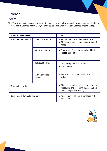# **Science**

# Year 9

The Year 9 Science Course covers all the Western Australian Curriculum requirements. Students cover topics in Science Inquiry Skills, Science as a Human Endeavour, and Science Understanding.

| <b>WA Curriculum Strands</b> |                            | <b>Content</b>                                                                                                    |  |
|------------------------------|----------------------------|-------------------------------------------------------------------------------------------------------------------|--|
| Science Understanding        | <b>Chemical Science</b>    | • Atomic theory and the periodic table<br>Chemical reactions and conservation of<br>mass                          |  |
|                              | Physical Science           | Energy transfers: heat, sound and light<br>$\bullet$<br><b>Forces and Motion</b>                                  |  |
|                              | <b>Biological Science</b>  | Responding to the environment<br>Ecosystems<br>$\bullet$                                                          |  |
|                              | Earth and Space<br>Science | Plate tectonics, earthquakes and<br>volcanoes.                                                                    |  |
| Science Inquiry Skills       |                            | Planning investigations and experiments,<br>measuring and recording data, analysing,<br>concluding and evaluating |  |
| Science as a Human Endeavour |                            | • Application of scientific concepts in the<br>real world                                                         |  |

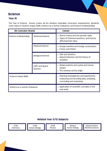# **Science**

# Year 10

The Year 10 Science Course covers all the Western Australian Curriculum requirements. Students cover topics in Science Inquiry Skills, Science as a Human Endeavour, and Science Understanding.

| <b>WA Curriculum Strands</b>  |                            | <b>Content</b>                                                                                                    |
|-------------------------------|----------------------------|-------------------------------------------------------------------------------------------------------------------|
| Science Understanding         | <b>Chemical Science</b>    | • Atomic theory and the periodic table<br>Types of Chemical reactions and factors<br>affecting their rates        |
|                               | <b>Physical Science</b>    | • Energy transfers and energy conservation<br>• Forces and Motion                                                 |
|                               | <b>Biological Science</b>  | • DNA and Genetics<br>Natural Selection and the theory of<br>evolution                                            |
|                               | Earth and Space<br>Science | • Global systems and cycles and human<br>impact<br>The universe and its origin                                    |
| <b>Science Inquiry Skills</b> |                            | Planning investigations and experiments,<br>measuring and recording data, analysing,<br>concluding and evaluating |
| Science as a Human Endeavour  |                            | Application of scientific concepts in the<br>real world                                                           |

# Related Year 11/12 Subjects

ATAR **Chemistry** 

ATAR Human Biology

ATAR Physics

General Human Biology

General Marine Maritime Science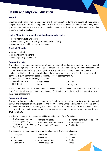# Health and Physical Education

# Year 9

Students study both Physical Education and Health Education during the course of their Year 9 program. Below are the key components to the Health and Physical Education curriculum, which provides opportunities for students to develop, enhance and exhibit attitudes and values that promote a healthy lifestyle.

## Health Education - personal, social and community health

- Being healthy, safe and active
- Communicating and interacting for health and well being
- Contributing to healthy and active communities

### Physical Education

- Moving our body
- Understanding movement
- Learning through movement

#### Outdoor Pursuits

This subject introduces students to activities in a variety of outdoor environments and the value of learning through the outdoors. It also enhances an individuals' ability to work independently, cooperatively and confidently. This subject involves practical and theory based components and any student thinking about this subject should have an interest in learning in the outdoor and be confident in swimming in the ocean (swimming level of at least Stage 7).

The practical activities in this subject include:

- survival swimming
- snorkelling
- bush walking • knots
- fishing
- navigation

The skills and practices learnt in each lesson will culminate in a day trip expedition at the end of the term. Students will also be required to plan and reflect on the expedition experience as part of their theoretical assessment.

### Sports and Fitness

This course has an emphasis on understanding and improving performance in a practical context through the integration of both practical and theory lessons. Sport and Fitness focuses on practical implementation of new sports along with students gaining an understanding of the strategies, tactics and rules of new sports. Students engage as performers, coaches, analysts and planners through physical activity.

The theory component of the course will include elements of the following:

- Strategies and tactics
- Nutrition for sport
- Rules for game play
- 
- Umpiring and coaching
- Body's response to exercise
- 
- Components of Fitness
- Indigenous contributions to sport
- Sport Psychology
- Goal Setting

Croquet • Cricket

• Energy Systems

This course will include theory and practical elements of the following sports:

• Badminton • Basketball

- Volleyball
- Golf
- Lacrosse
- Lawn bowls
- Indigenous games
- Fitness sessions
- Gaelic Netball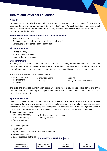# Health and Physical Education

# Year 10

Students study both Physical Education and Health Education during the course of their Year 10 program. Below are the key components to the Health and Physical Education curriculum, which provides opportunities for students to develop, enhance and exhibit attitudes and values that promote a healthy lifestyle.

## Health Education - personal, social and community health

- Being healthy, safe and active
- Communicating and interacting for health and well being
- Contributing to healthy and active communities

## Physical Education

- Moving our body
- Understanding movement
- Learning through movement

## Outdoor Pursuits

This subject is a follow on from the year 9 course and explores, Outdoor Education and Recreation through participation in a variety of activities in the outdoors. It is designed to introduce, consolidate and further extend skills and practices learnt in the outdoors and builds on previous experiences.

The practical activities in this subject include:

- survival swimming
- mountain biking

• roping

• mapping

• a range of camp craft skills

- bodyboarding • canoeing
- The skills and practices learnt in each lesson will culminate in a day trip expedition at the end of the term. Students will also be required to plan and reflect on the expedition experience as part of their theoretical assessment.

## Sports and Fitness

During this course students will be introduced to fitness and exercise in detail. Students will be given the opportunity to improve individual fitness through experiencing a variety of exercise methods, construct healthy training regimes and understand the concepts behind fitness programs, types of training and methods of training. It is made up of both a practical and a theoretical component. Theory components include:

- Functional Anatomy
- Bodies response to exercise
- Exercise Anatomy
- Training Methods
- Energy systems
- 
- 

Practical components:

- Team Games
- Sports Education Model (team based approach)
- Indigenous Games
- Local recreation activities



ATAR Physical Education Studies



General Outdoor Education

Cert II Sport & Recreation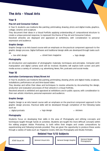# The Arts - Visual Arts

## Year 9

## Pop Art and Consumer Culture

In Year 9, students use mediums like painting, printmaking, drawing, photo and digital media, graphics, collage, ceramic and sculpture.

They document their ideas in a Visual Portfolio applying understanding of compositional structure to create a unique personal response, to represent the theme of Pop Art and Consumer Culture.

Resolved artworks are displayed and appraised at exhibitions, with consideration to personal expression and audience.

#### Graphic Design

Graphic Design is an Arts based course with an emphasis on the practical component approach to the graphic design process. Digital Software and traditional design skills are developed through tasks such as:

- - street teen magazine tee-shirt design logo design
- 

#### Photography

An introduction and exploration of photographic materials, techniques and principles. Computer print manipulation and digital camera work will be involved. Students will explore both screen and print media across a variety of contexts, e.g. advertising, News, film, podcasts and social media.

## Year 10

### Australian Contemporary Urban/Street Art

In Year 10, students use mediums like painting, printmaking, drawing, photo and digital media, sculpture, installations, performance art and time-based video.

They develop and refine their ideas and techniques to resolve artworks by documenting the design, production and evaluation processes of their artwork in a Visual Portfolio,

Resolved artwork is exhibited and appraised at exhibitions and in public spaces, with consideration to their own artistic intentions, personal expression and audience.

### Graphic Design

Graphic Design is an Arts based course with an emphasis on the practical component approach to the graphic design process. Practical skills will be developed through completion of the following tasks such as:

- digital portraits
- logo design stickers
	-

## Photography

Students focus on developing their skills in the area of Photography and refining concepts and techniques taught through hands on activities. Students are taught the more difficult concepts within the editing program Adobe Photoshop, to both refine their images and create compositions by experimenting and following tutorials provided. They are given the opportunity to produce these works through a variety of tasks such as: Magazine Covers, Still Like Photography and Studio Portraits.

# Related Year 11/12 Subjects

General Visual Arts

ATAR Visual Art **Conservant Conservant Conservant Conservant Conservant Conservant Conservant Conservant Conservant Conservant Conservant Conservant Conservant Conservant Conservant Conservant Conservant Conservant Conserv** 

General Design Photography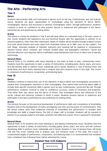# The Arts - Performing Arts

## Year 9

#### Dance

Students demonstrate skills and techniques in genres such as Hip Hop, Contemporary, Jazz and Cultural Dance. Students are given opportunities to choreograph using the elements of dance (BEST), choreographic devices and structures to develop choreographic intent. Through performance, students continue to work on confidence as they present dances to audiences and participate in live dance performances and workshops by visiting artists.

#### Drama

This option is chosen by students in Year 9 and will span either as a semester long or full year course. In this course students will experience live and technical theatre with the opportunity to perform to an external audience, other than their classmates. Styles of theatre will be studied through scripted scenes from both World Theatre and iconic plays from Australian history, up to 1960, such as Ray Lawler's, 'The Doll Trilogy'. Extended analysis of dramatic elements and meaning will be explored in contemporary devised scenes which compare, and contrast studied plays and playwright's intentions. Formal and informal reflection and response will be scaffolded using frameworks that focus on direct use of specific terminology.

#### General Music

General Music is for students who enjoy listening to, and want to learn to play, contemporary music. Students have the opportunity to learn a variety of instruments, including guitar, drums, piano, and voice, and will develop skills to perform music individually and in bands. Students in Year 9 General Music will study Blues and Rock music, learning how to analyse, play and compose music in this style. This course is comprised of performance, composition, and listening tasks.

### Year 10

#### Dance

Students continue to extend their use of the elements of dance (BEST) and choreographic processes to expand their choreographic intentions in their choreography. They extend their technical dance skills to include style-specific movement skills in genres such as Jazz, Contemporary, Lyrical and Hip Hop. Through performance, students continue to work on confidence, accuracy, clarity of movement and projection. They refine their own dance and the dance of others. They investigate dance and influences of the social, cultural and historical contexts in which it exists. Students present dances to audiences and participate in live dance performances and workshops by visiting artists.

#### Drama

This elective focuses on the practical development of performance skills and conventions of storytelling. Students look at the development of myths and legends over time and the power of communication. They will devise means other than traditional methods of storytelling and performance to broaden their knowledge and skills in staged drama. The OHS of stage craft is included. Students will be required to perform to an outside audience and keep a portfolio and reflective journal. Time is required for rehearsals.

#### General Music

General Music is for students who enjoy listening to, and playing contemporary music. Students have the opportunity to learn a variety of instruments, including guitar, drums, piano, and voice, and will continue developing skills to perform music individually and in bands. Students in Year 10 General Music will study Folk and Pop music, learning how to analyse, play, and compose music in this style. This course is compromised largely of performance, composition, and listening tasks. It is recommended that students have completed Year 9 General Music before selecting this course.



General Music **Guide Contains Container Contains Container** General Dance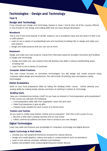# Technologies - Design and Technology

# Year 9

# Design and Technology

If you enjoyed your Design and Technology classes in Years 7 and 8, then all of the courses offered in Year 9 build on the design and making skills that you have already developed.

## Woodwork

This is one of the most popular of all D&T subjects. Join a woodwork class and see what it is like to be a crafts person.

- Learn to use a variety of woodworking tools and machinery including CAD, to design and make your own projects
- Design and make projects that you can use at home

### **Metalwork**

Design and make your own projects, mainly from mild steel using the excellent machines and facilities in Design and Technology.

- Design and make your own projects that will develop new skills in various metalworking areas, including CAD
- Learn how to use a variety of machines.

## Computer Aided Creations

This new course focuses on innovative technologies. You will design and create projects using computer aided design and manufacture. This will include 3D printing, laser and plasma cutting technologies

## Home Economics

Build on your food preparation skills by taking the Budding Chefs course. Further develop your sewing ability by making simple articles and items of clothing in Fashion & Technology.

## Budding Chefs

Have you considered becoming a chef? Do you have an interest in food preparation and presentation? In this course you will learn the following:

- Food preparation skills with fruit, vegetables, meat, fish and more
- Make food preserves to give as gifts
- Prepare foods suitable for each course of a formal menu

## Fashion and Textiles

Do you want to create easy fashion clothes and accessories? Then this is the course for you.

- Become a whiz with a sewing machine and an over locker
- Follow commercial patterns and learn how to produce your own designs

# Digital Technologies

Learn new skills and improve your knowledge of computers, technology and digital devices.

### Digital Technology & Multi Media

- Develop your own graphical interfaces (screens) for various devices
- Design and create graphics, videos and audio to create products such as animations.
- Learn to use various computer software and hardware
- Explore and problem solve using programming and robotic devices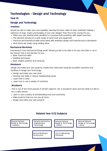# Technologies - Design and Technology

# Year 10

# Design and Technology

## Jewellery

Would you like to make your own jewellery, learning the basic skills of silver smithing? Making a selection of rings, chains and bangles of your own design? Then this is the course for you

- Make your own sterling silver jewellery in a purpose built workshop with expert teachers
- This elective introduces a wide range of hand tools and equipment
- Practical and theoretical skills associated with jewellery design and manufacture is developed
- Most items are made using sterling silver

## Mechanical Workshop

Interested in how mechanical things work? Would you like to be able to fix your own bike or car in the future? This is the elective for you.

- Basic hand tool skills
- Welding techniques
- Basic engine systems and servicing.

## Metalwork

Design and make your own projects, mainly from mild steel using the excellent machines and facilities in Design and Technology.

- Design and make your own work
- Develop new skills in various metalworking areas
- Learn how to weld.
- Learn how to use a variety of machines.

### Woodwork

This is one of the most popular of all D&T subjects. Join a woodwork class and see what it is like to be a crafts person.

- Learn to use a variety of woodworking tools and machinery
- Make projects that you can use at home
- Design and make your own projects

#### General Material Design & Technology - Metals General Material Design & Technology **Jewellery** General Material Design & Technology - Wood General Automotive Engineering & Technology Cert II Engineering Pathways General Building & Construction

# Related Year 11/12 Subjects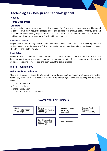# Technologies - Design and Technology cont.

# Year 10

# Home Economics

## **Childcare**

In this elective you will learn about child development (0 – 5 years) and research why children need to play. You will learn about the design process and develop your creative ability by making toys and activities for children using recycled items, paint and other materials. You will also prepare food for toddlers and design a calendar using IT skills with parenting tips.

## Fashion & Textiles

Do you want to create easy fashion clothes and accessories, become a whiz with a sewing machine and an overlocker, understand and follow commercial patterns and learn about the design process? Then this is the elective for you.

## Food Safari

Western Australia produces some of the best food crops in the world. Explore foods from your own backyard and then go on a food safari where you learn about different European and Asian food cultures, cook some tasty recipes and learn about the design process.

# Digital Technologies

## Digital Media and Animation

This is an elective for students interested in web development, animation, multimedia and related technology. Students use a variety of software to create digital products covering the following areas:

- Computer Animation
- Desktop Publishing
- Image Manipulation
- Computer hardware and software

# Related Year 11/12 Subjects

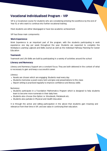# Vocational Individualised Program - VIP

VIP is a Vocational course for students who are considering entering the workforce by the end of Year 10, or who want to continue into further vocational training.

Most students are either disengaged or have low academic achievement

VIP has these main components:

#### Work Experience

Work Experience is an important part of the program, with the students participating in work experience one day per week throughout the year. Students are expected to complete the Workplace Learning Logbook and Skills Journal as well as the Individual Pathway Planning for Career Education

### **Teamwork**

Teamwork and Life Skills are built by participating in a variety of activities around the school

#### Literacy and Numeracy

Literacy and Numeracy Support are a constant focus. They are both delivered in the context of what is necessary to gain and keep a successful career.

Literacy:

- Novels are chosen which are engaging. Students read every day
- Students memorise a poem every term and give oral presentations to the class
- Report writing is practised regularly to improve confidence and literacy skills

Numeracy:

- Students participate in a Foundation Mathematics Program which is designed to help students learn to become more numerate in their daily lives
- Students also choose One Option i.e. Woodwork, Metalwork etc.
- Students also partake in Physical and Health Education

It is through the active and willing participation in the above that students gain meaning and relevance from their time in VIP, and see value in continuing their education.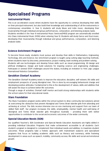# Specialised Programs

# Instrumental Music

This is an accelerated course where students have the opportunity to continue developing their skills on their principal instrument, but also build their knowledge and understanding of all the instruments in contemporary ensembles. In Year 9, students will study Blues and Indie music, developing their musicianship through individual and group performances, composition, and listening analysis tasks. Students enrolled in the Year 9 Instrumental Music Services(IMSS) program are automatically enrolled into Class Instrumental Music (IMSS) when entering Year 10. Students will study Dance and Soul music, developing their musicianship through individual and group performances, composition, and listening analysis tasks.

# Science Enrichment Program

To become future-ready, students must pursue and develop their skills in Mathematics, Engineering, Technology, Arts and Science. Our enrichment program is taught using cutting edge teaching methods, where students learn by discovery, perseverance, project making, team working and problem-solving. Students will use technologies and develop future skills such as visual programming, 3D design and artificial intelligence. Design and build solutions for inspiring science and engineering challenges. Participate in several STEM challenges around the states, including an invitation to First Lego League International Robotics Competition.

# Geraldton Clontarf Academy

The Geraldton Clontarf Academy exists to improve the education, discipline, self-esteem, life skills and employment prospects of young Aboriginal men. This is done by encouraging behavioural change and developing positive attitudes. Fundamental to this is the development of values, skills and abilities that will assist the boys to achieve better life outcomes.

Through a range of activities, Clontarf staff mentor and build strong relationships with students while the school caters for their educational needs.

# Stars Foundation

The Stars Foundation program works within the school system to drive community-led solutions aimed at overcoming the obstacles that prevent Aboriginal and Torres Strait Islander girls from attending and achieving at school. The Girls receive intensive one-on-one mentoring and support from our team of skilled field staff.. Our program increases the skills, employability, mental health and well-being of Aboriginal and Torres Strait Islander girls throughout Australia – providing them with better opportunities to contribute to the social and economic outcomes of the wider community.

# Special Education Needs (SEN)

Our qualified Teacher's, SEN Coordinator and Special Needs Education Assistants are highly skilled in providing Individual Education Programs that make achievement accessible to all students. Each student's program is designed to complement their individual needs and abilities, to maximize student outcomes. These programs take a holistic approach, with mainstream subjects and specialised programs that focus on building academic skills such as literacy and numeracy, while fostering development in areas such as speech, mobility, community access, life skills and social and emotional growth.